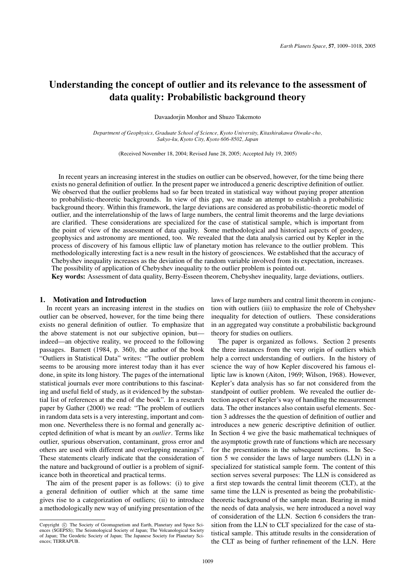# **Understanding the concept of outlier and its relevance to the assessment of data quality: Probabilistic background theory**

Davaadorjin Monhor and Shuzo Takemoto

*Department of Geophysics, Graduate School of Science, Kyoto University, Kitashirakawa Oiwake-cho, Sakyo-ku, Kyoto City, Kyoto 606-8502, Japan*

(Received November 18, 2004; Revised June 28, 2005; Accepted July 19, 2005)

In recent years an increasing interest in the studies on outlier can be observed, however, for the time being there exists no general definition of outlier. In the present paper we introduced a generic descriptive definition of outlier. We observed that the outlier problems had so far been treated in statistical way without paying proper attention to probabilistic-theoretic backgrounds. In view of this gap, we made an attempt to establish a probabilistic background theory. Within this framework, the large deviations are considered as probabilistic-theoretic model of outlier, and the interrelationship of the laws of large numbers, the central limit theorems and the large deviations are clarified. These considerations are specialized for the case of statistical sample, which is important from the point of view of the assessment of data quality. Some methodological and historical aspects of geodesy, geophysics and astronomy are mentioned, too. We revealed that the data analysis carried out by Kepler in the process of discovery of his famous elliptic law of planetary motion has relevance to the outlier problem. This methodologically interesting fact is a new result in the history of geosciences. We established that the accuracy of Chebyshev inequality increases as the deviation of the random variable involved from its expectation, increases. The possibility of application of Chebyshev inequality to the outlier problem is pointed out.

**Key words:** Assessment of data quality, Berry-Esseen theorem, Chebyshev inequality, large deviations, outliers.

#### **1. Motivation and Introduction**

In recent years an increasing interest in the studies on outlier can be observed, however, for the time being there exists no general definition of outlier. To emphasize that the above statement is not our subjective opinion, but indeed—an objective reality, we proceed to the following passages. Barnett (1984, p. 360), the author of the book "Outliers in Statistical Data" writes: "The outlier problem seems to be arousing more interest today than it has ever done, in spite its long history. The pages of the international statistical journals ever more contributions to this fascinating and useful field of study, as it evidenced by the substantial list of references at the end of the book". In a research paper by Gather (2000) we read: "The problem of outliers in random data sets is a very interesting, important and common one. Nevertheless there is no formal and generally accepted definition of what is meant by an *outlier*. Terms like outlier, spurious observation, contaminant, gross error and others are used with different and overlapping meanings". These statements clearly indicate that the consideration of the nature and background of outlier is a problem of significance both in theoretical and practical terms.

The aim of the present paper is as follows: (i) to give a general definition of outlier which at the same time gives rise to a categorization of outliers; (ii) to introduce a methodologically new way of unifying presentation of the

laws of large numbers and central limit theorem in conjunction with outliers (iii) to emphasize the role of Chebyshev inequality for detection of outliers. These considerations in an aggregated way constitute a probabilistic background theory for studies on outliers.

The paper is organized as follows. Section 2 presents the three instances from the very origin of outliers which help a correct understanding of outliers. In the history of science the way of how Kepler discovered his famous elliptic law is known (Aiton, 1969; Wilson, 1968). However, Kepler's data analysis has so far not considered from the standpoint of outlier problem. We revealed the outlier detection aspect of Kepler's way of handling the measurement data. The other instances also contain useful elements. Section 3 addresses the the question of definition of outlier and introduces a new generic descriptive definition of outlier. In Section 4 we give the basic mathematical techniques of the asymptotic growth rate of functions which are necessary for the presentations in the subsequent sections. In Section 5 we consider the laws of large numbers (LLN) in a specialized for statistical sample form. The content of this section serves several purposes: The LLN is considered as a first step towards the central limit theorem (CLT), at the same time the LLN is presented as being the probabilistictheoretic background of the sample mean. Bearing in mind the needs of data analysis, we here introduced a novel way of consideration of the LLN. Section 6 considers the transition from the LLN to CLT specialized for the case of statistical sample. This attitude results in the consideration of the CLT as being of further refinement of the LLN. Here

Copyright  $\odot$  The Society of Geomagnetism and Earth, Planetary and Space Sciences (SGEPSS); The Seismological Society of Japan; The Volcanological Society of Japan; The Geodetic Society of Japan; The Japanese Society for Planetary Sciences; TERRAPUB.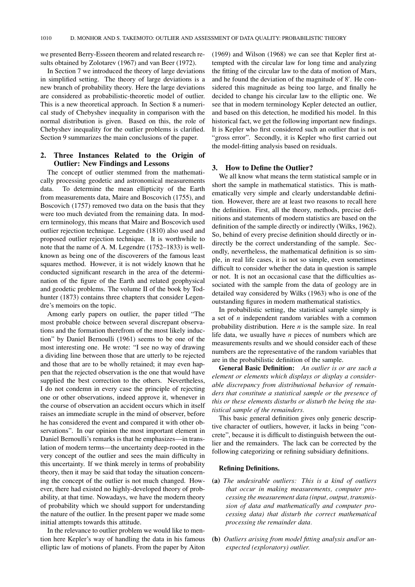we presented Berry-Esseen theorem and related research results obtained by Zolotarev (1967) and van Beer (1972).

In Section 7 we introduced the theory of large deviations in simplified setting. The theory of large deviations is a new branch of probability theory. Here the large deviations are considered as probabilistic-theoretic model of outlier. This is a new theoretical approach. In Section 8 a numerical study of Chebyshev inequality in comparison with the normal distribution is given. Based on this, the role of Chebyshev inequality for the outlier problems is clarified. Section 9 summarizes the main conclusions of the paper.

# **2. Three Instances Related to the Origin of Outlier: New Findings and Lessons**

The concept of outlier stemmed from the mathematically processing geodetic and astronomical measurements data. To determine the mean ellipticity of the Earth from measurements data, Maire and Boscovich (1755), and Boscovich (1757) removed two data on the basis that they were too much deviated from the remaining data. In modern terminology, this means that Maire and Boscovich used outlier rejection technique. Legendre (1810) also used and proposed outlier rejection technique. It is worthwhile to note that the name of A. M. Legendre (1752–1833) is wellknown as being one of the discoverers of the famous least squares method. However, it is not widely known that he conducted significant research in the area of the determination of the figure of the Earth and related geophysical and geodetic problems. The volume II of the book by Todhunter (1873) contains three chapters that consider Legendre's memoirs on the topic.

Among early papers on outlier, the paper titled "The most probable choice between several discrepant observations and the formation therefrom of the most likely induction" by Daniel Bernoulli (1961) seems to be one of the most interesting one. He wrote: "I see no way of drawing a dividing line between those that are utterly to be rejected and those that are to be wholly retained; it may even happen that the rejected observation is the one that would have supplied the best correction to the others. Nevertheless, I do not condemn in every case the principle of rejecting one or other observations, indeed approve it, whenever in the course of observation an accident occurs which in itself raises an immediate scruple in the mind of observer, before he has considered the event and compared it with other observations". In our opinion the most important element in Daniel Bernoulli's remarks is that he emphasizes—in translation of modern terms—the uncertainty deep-rooted in the very concept of the outlier and sees the main difficulty in this uncertainty. If we think merely in terms of probability theory, then it may be said that today the situation concerning the concept of the outlier is not much changed. However, there had existed no highly-developed theory of probability, at that time. Nowadays, we have the modern theory of probability which we should support for understanding the nature of the outlier. In the present paper we made some initial attempts towards this attitude.

In the relevance to outlier problem we would like to mention here Kepler's way of handling the data in his famous elliptic law of motions of planets. From the paper by Aiton

(1969) and Wilson (1968) we can see that Kepler first attempted with the circular law for long time and analyzing the fitting of the circular law to the data of motion of Mars, and he found the deviation of the magnitude of 8'. He considered this magnitude as being too large, and finally he decided to change his circular law to the elliptic one. We see that in modern terminology Kepler detected an outlier, and based on this detection, he modified his model. In this historical fact, we get the following important new findings. It is Kepler who first considered such an outlier that is not "gross error". Secondly, it is Kepler who first carried out the model-fitting analysis based on residuals.

#### **3. How to Define the Outlier?**

We all know what means the term statistical sample or in short the sample in mathematical statistics. This is mathematically very simple and clearly understandable definition. However, there are at least two reasons to recall here the definition. First, all the theory, methods, precise definitions and statements of modern statistics are based on the definition of the sample directly or indirectly (Wilks, 1962). So, behind of every precise definition should directly or indirectly be the correct understanding of the sample. Secondly, nevertheless, the mathematical definition is so simple, in real life cases, it is not so simple, even sometimes difficult to consider whether the data in question is sample or not. It is not an occasional case that the difficulties associated with the sample from the data of geology are in detailed way considered by Wilks (1963) who is one of the outstanding figures in modern mathematical statistics.

In probabilistic setting, the statistical sample simply is a set of *n* independent random variables with a common probability distribution. Here *n* is the sample size. In real life data, we usually have *n* pieces of numbers which are measurements results and we should consider each of these numbers are the representative of the random variables that are in the probabilistic definition of the sample.

**General Basic Definition:** *An outlier is or are such a element or elements which displays or display a considerable discrepancy from distributional behavior of remainders that constitute a statistical sample or the presence of this or these elements disturbs or disturb the being the statistical sample of the remainders.*

This basic general definition gives only generic descriptive character of outliers, however, it lacks in being "concrete", because it is difficult to distinguish between the outlier and the remainders. The lack can be corrected by the following categorizing or refining subsidiary definitions.

## **Refining Definitions.**

- **(a)** *The undesirable outliers: This is a kind of outliers that occur in making measurements, computer processing the measurement data (input, output, transmission of data and mathematically and computer processing data) that disturb the correct mathematical processing the remainder data.*
- **(b)** *Outliers arising from model fitting analysis and/or unexpected (exploratory) outlier.*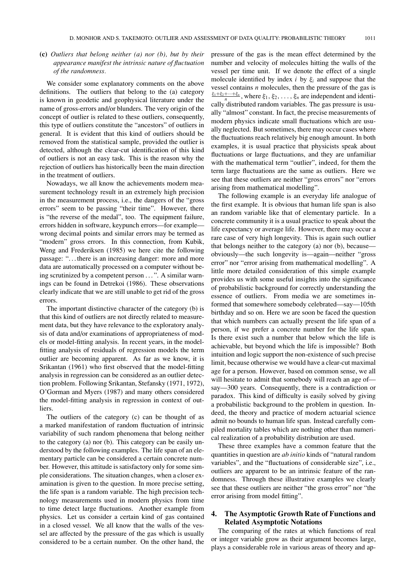**(c)** *Outliers that belong neither (a) nor (b), but by their appearance manifest the intrinsic nature of fluctuation of the randomness.*

We consider some explanatory comments on the above definitions. The outliers that belong to the (a) category is known in geodetic and geophysical literature under the name of gross-errors and/or blunders. The very origin of the concept of outlier is related to these outliers, consequently, this type of outliers constitute the "ancestors" of outliers in general. It is evident that this kind of outliers should be removed from the statistical sample, provided the outlier is detected, although the clear-cut identification of this kind of outliers is not an easy task. This is the reason why the rejection of outliers has historically been the main direction in the treatment of outliers.

Nowadays, we all know the achievements modern measurement technology result in an extremely high precision in the measurement process, i.e., the dangers of the "gross errors" seem to be passing "their time". However, there is "the reverse of the medal", too. The equipment failure, errors hidden in software, keypunch errors—for example wrong decimal points and similar errors may be termed as "modern" gross errors. In this connection, from Kubik, Weng and Frederiksen (1985) we here cite the following passage: ". . . there is an increasing danger: more and more data are automatically processed on a computer without being scrutinized by a competent person ...". A similar warnings can be found in Detrekoi (1986). These observations clearly indicate that we are still unable to get rid of the gross errors.

The important distinctive character of the category (b) is that this kind of outliers are not directly related to measurement data, but they have relevance to the exploratory analysis of data and/or examinations of appropriateness of models or model-fitting analysis. In recent years, in the modelfitting analysis of residuals of regression models the term outlier are becoming apparent. As far as we know, it is Srikantan (1961) who first observed that the model-fitting analysis in regression can be considered as an outlier detection problem. Following Srikantan, Stefansky (1971, 1972), O'Gorman and Myers (1987) and many others considered the model-fitting analysis in regression in context of outliers.

The outliers of the category (c) can be thought of as a marked manifestation of random fluctuation of intrinsic variability of such random phenomena that belong neither to the category (a) nor (b). This category can be easily understood by the following examples. The life span of an elementary particle can be considered a certain concrete number. However, this attitude is satisfactory only for some simple considerations. The situation changes, when a closer examination is given to the question. In more precise setting, the life span is a random variable. The high precision technology measurements used in modern physics from time to time detect large fluctuations. Another example from physics. Let us consider a certain kind of gas contained in a closed vessel. We all know that the walls of the vessel are affected by the pressure of the gas which is usually considered to be a certain number. On the other hand, the pressure of the gas is the mean effect determined by the number and velocity of molecules hitting the walls of the vessel per time unit. If we denote the effect of a single molecule identified by index *i* by ξ*<sup>i</sup>* and suppose that the vessel contains *n* molecules, then the pressure of the gas is  $\frac{\xi_1+\xi_2+\cdots+\xi_n}{n}$ , where  $\xi_1, \xi_2, \ldots, \xi_n$  are independent and identically distributed random variables. The gas pressure is usually "almost" constant. In fact, the precise measurements of modern physics indicate small fluctuations which are usually neglected. But sometimes, there may occur cases where the fluctuations reach relatively big enough amount. In both examples, it is usual practice that physicists speak about fluctuations or large fluctuations, and they are unfamiliar with the mathematical term "outlier", indeed, for them the term large fluctuations are the same as outliers. Here we see that these outliers are neither "gross errors" nor "errors arising from mathematical modelling".

The following example is an everyday life analogue of the first example. It is obvious that human life span is also an random variable like that of elementary particle. In a concrete community it is a usual practice to speak about the life expectancy or average life. However, there may occur a rare case of very high longevity. This is again such outlier that belongs neither to the category (a) nor (b), because obviously—the such longevity is—again—neither "gross error" nor "error arising from mathematical modelling". A little more detailed consideration of this simple example provides us with some useful insights into the significance of probabilistic background for correctly understanding the essence of outliers. From media we are sometimes informed that somewhere somebody celebrated—say—105th birthday and so on. Here we are soon be faced the question that which numbers can actually present the life span of a person, if we prefer a concrete number for the life span. Is there exist such a number that below which the life is achievable, but beyond which the life is impossible? Both intuition and logic support the non-existence of such precise limit, because otherwise we would have a clear-cut maximal age for a person. However, based on common sense, we all will hesitate to admit that somebody will reach an age ofsay—300 years. Consequently, there is a contradiction or paradox. This kind of difficulty is easily solved by giving a probabilistic background to the problem in question. Indeed, the theory and practice of modern actuarial science admit no bounds to human life span. Instead carefully compiled mortality tables which are nothing other than numerical realization of a probability distribution are used.

These three examples have a common feature that the quantities in question are *ab initio* kinds of "natural random variables", and the "fluctuations of considerable size", i.e., outliers are apparent to be an intrinsic feature of the randomness. Through these illustrative examples we clearly see that these outliers are neither "the gross error" nor "the error arising from model fitting".

# **4. The Asymptotic Growth Rate of Functions and Related Asymptotic Notations**

The comparing of the rates at which functions of real or integer variable grow as their argument becomes large, plays a considerable role in various areas of theory and ap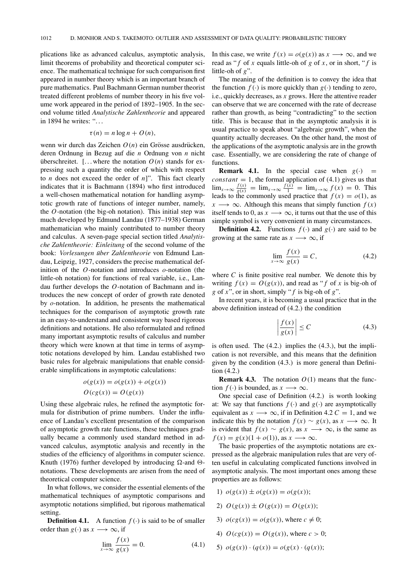plications like as advanced calculus, asymptotic analysis, limit theorems of probability and theoretical computer science. The mathematical technique for such comparison first appeared in number theory which is an important branch of pure mathematics. Paul Bachmann German number theorist treated different problems of number theory in his five volume work appeared in the period of 1892–1905. In the second volume titled *Analytische Zahlentheorie* and appeared in 1894 he writes: "...

$$
\tau(n) = n \log n + O(n),
$$

wenn wir durch das Zeichen  $O(n)$  ein Grösse ausdrücken, deren Ordnung in Bezug auf die *n* Ordnung von *n* nicht uberschreitet.  $[\dots]$  where the notation  $O(n)$  stands for expressing such a quantity the order of which with respect to *n* does not exceed the order of  $n$ ]". This fact clearly indicates that it is Bachmann (1894) who first introduced a well-chosen mathematical notation for handling asymptotic growth rate of functions of integer number, namely, the *O*-notation (the big-oh notation). This initial step was much developed by Edmund Landau (1877–1938) German mathematician who mainly contributed to number theory and calculus. A seven-page special section titled *Analytische Zahlentheorie: Einleitung* of the second volume of the book: *Vorlesungen über Zahlentheorie* von Edmund Landau, Leipzig, 1927, considers the precise mathematical definition of the *O*-notation and introduces *o*-notation (the little-oh notation) for functions of real variable, i.e., Landau further develops the *O*-notation of Bachmann and introduces the new concept of order of growth rate denoted by *o*-notation. In addition, he presents the mathematical techniques for the comparison of asymptotic growth rate in an easy-to-understand and consistent way based rigorous definitions and notations. He also reformulated and refined many important asymptotic results of calculus and number theory which were known at that time in terms of asymptotic notations developed by him. Landau established two basic rules for algebraic manipulations that enable considerable simplifications in asymptotic calculations:

$$
o(g(x)) = o(g(x)) + o(g(x))
$$
  

$$
O(cg(x)) = O(g(x))
$$

Using these algebraic rules, he refined the asymptotic formula for distribution of prime numbers. Under the influence of Landau's excellent presentation of the comparison of asymptotic growth rate functions, these techniques gradually became a commonly used standard method in advanced calculus, asymptotic analysis and recently in the studies of the efficiency of algorithms in computer science. Knuth (1976) further developed by introducing  $\Omega$ -and  $\Theta$ notations. These developments are arisen from the need of theoretical computer science.

In what follows, we consider the essential elements of the mathematical techniques of asymptotic comparisons and asymptotic notations simplified, but rigorous mathematical setting.

**Definition 4.1.** A function  $f(\cdot)$  is said to be of smaller order than  $g(\cdot)$  as  $x \rightarrow \infty$ , if

$$
\lim_{x \to \infty} \frac{f(x)}{g(x)} = 0. \tag{4.1}
$$

In this case, we write  $f(x) = o(g(x))$  as  $x \rightarrow \infty$ , and we read as " $f$  of  $x$  equals little-oh of  $g$  of  $x$ , or in short, " $f$  is little-oh of *g*".

The meaning of the definition is to convey the idea that the function  $f(\cdot)$  is more quickly than  $g(\cdot)$  tending to zero, i.e., quickly decreases, as *x* grows. Here the attentive reader can observe that we are concerned with the rate of decrease rather than growth, as being "contradicting" to the section title. This is because that in the asymptotic analysis it is usual practice to speak about "algebraic growth", when the quantity actually decreases. On the other hand, the most of the applications of the asymptotic analysis are in the growth case. Essentially, we are considering the rate of change of functions.

**Remark 4.1.** In the special case when  $g(\cdot)$  = *constant*  $= 1$ , the formal application of  $(4.1)$  gives us that  $\lim_{x \to \infty} \frac{f(x)}{g(x)} = \lim_{x \to \infty} \frac{f(x)}{1} = \lim_{x \to \infty} f(x) = 0$ . This leads to the commonly used practice that  $f(x) = o(1)$ , as  $x \rightarrow \infty$ . Although this means that simply function  $f(x)$ itself tends to 0, as  $x \rightarrow \infty$ , it turns out that the use of this simple symbol is very convenient in many circumstances.

**Definition 4.2.** Functions  $f(\cdot)$  and  $g(\cdot)$  are said to be growing at the same rate as  $x \rightarrow \infty$ , if

$$
\lim_{x \to \infty} \frac{f(x)}{g(x)} = C,\tag{4.2}
$$

where  $C$  is finite positive real number. We denote this by writing  $f(x) = O(g(x))$ , and read as "*f* of *x* is big-oh of *g* of *x*", or in short, simply "*f* is big-oh of  $g$ ".

In recent years, it is becoming a usual practice that in the above definition instead of (4.2.) the condition

$$
\left|\frac{f(x)}{g(x)}\right| \le C\tag{4.3}
$$

is often used. The (4.2.) implies the (4.3.), but the implication is not reversible, and this means that the definition given by the condition (4.3.) is more general than Definition (4.2.)

**Remark 4.3.** The notation  $O(1)$  means that the function  $f(\cdot)$  is bounded, as  $x \rightarrow \infty$ .

One special case of Definition (4.2.) is worth looking at: We say that functions  $f(\cdot)$  and  $g(\cdot)$  are asymptotically equivalent as  $x \rightarrow \infty$ , if in Definition 4.2  $C = 1$ , and we indicate this by the notation  $f(x) \sim g(x)$ , as  $x \rightarrow \infty$ . It is evident that  $f(x) \sim g(x)$ , as  $x \rightarrow \infty$ , is the same as  $f(x) = g(x)(1 + o(1))$ , as  $x \rightarrow \infty$ .

The basic properties of the asymptotic notations are expressed as the algebraic manipulation rules that are very often useful in calculating complicated functions involved in asymptotic analysis. The most important ones among these properties are as follows:

1) 
$$
o(g(x)) \pm o(g(x)) = o(g(x));
$$

2) 
$$
O(g(x)) \pm O(g(x)) = O(g(x));
$$

3)  $o(cg(x)) = o(g(x))$ , where  $c \neq 0$ ;

4)  $O(cg(x)) = O(g(x))$ , where  $c > 0$ ;

5) 
$$
o(g(x)) \cdot (q(x)) = o(g(x) \cdot (q(x));
$$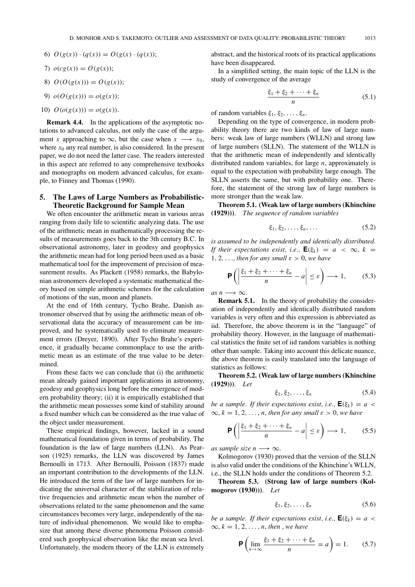6)  $O(g(x)) \cdot (q(x)) = O(g(x) \cdot (q(x));$ 

$$
7) \ o(cg(x)) = O(g(x));
$$

8)  $O(O(g(x))) = O(g(x));$ 

9) 
$$
o(O(g(x))) = o(g(x));
$$

10) 
$$
O(o(g(x))) = o(g(x)).
$$

**Remark 4.4.** In the applications of the asymptotic notations to advanced calculus, not only the case of the argument *x* approaching to  $\infty$ , but the case when  $x \rightarrow x_0$ , where  $x_0$  any real number, is also considered. In the present paper, we do not need the latter case. The readers interested in this aspect are referred to any comprehensive textbooks and monographs on modern advanced calculus, for example, to Finney and Thomas (1990).

## **5. The Laws of Large Numbers as Probabilistic-Theoretic Background for Sample Mean**

We often encounter the arithmetic mean in various areas ranging from daily life to scientific analyzing data. The use of the arithmetic mean in mathematically processing the results of measurements goes back to the 3th century B.C. In observational astronomy, later in geodesy and geophysics the arithmetic mean had for long period been used as a basic mathematical tool for the improvement of precision of measurement results. As Plackett (1958) remarks, the Babylonian astronomers developed a systematic mathematical theory based on simple arithmetic schemes for the calculation of motions of the sun, moon and planets.

At the end of 16th century, Tycho Brahe, Danish astronomer observed that by using the arithmetic mean of observational data the accuracy of measurement can be improved, and he systematically used to eliminate measurement errors (Dreyer, 1890). After Tycho Brahe's experience, it gradually became commonplace to use the arithmetic mean as an estimate of the true value to be determined.

From these facts we can conclude that (i) the arithmetic mean already gained important applications in astronomy, geodesy and geophysics long before the emergence of modern probability theory; (ii) it is empirically established that the arithmetic mean possesses some kind of stability around a fixed number which can be considered as the true value of the object under measurement.

These empirical findings, however, lacked in a sound mathematical foundation given in terms of probability. The foundation is the law of large numbers (LLN). As Pearson (1925) remarks, the LLN was discovered by James Bernoulli in 1713. After Bernoulli, Poisson (1837) made an important contribution to the developments of the LLN. He introduced the term of the law of large numbers for indicating the universal character of the stabilization of relative frequencies and arithmetic mean when the number of observations related to the same phenomenon and the same circumstances becomes very large, independently of the nature of individual phenomenon. We would like to emphasize that among these diverse phenomena Poisson considered such geophysical observation like the mean sea level. Unfortunately, the modern theory of the LLN is extremely abstract, and the historical roots of its practical applications have been disappeared.

In a simplified setting, the main topic of the LLN is the study of convergence of the average

$$
\frac{\xi_1 + \xi_2 + \dots + \xi_n}{n} \tag{5.1}
$$

of random variables  $\xi_1, \xi_2, \ldots, \xi_n$ .

Depending on the type of convergence, in modern probability theory there are two kinds of law of large numbers: weak law of large numbers (WLLN) and strong law of large numbers (SLLN). The statement of the WLLN is that the arithmetic mean of independently and identically distributed random variables, for large *n*, approximately is equal to the expectation with probability large enough. The SLLN asserts the same, but with probability one. Therefore, the statement of the strong law of large numbers is more stronger than the weak law.

**Theorem 5.1. (Weak law of large numbers (Khinchine (1929)))**. *The sequence of random variables*

$$
\xi_1, \xi_2, \ldots, \xi_n, \ldots \tag{5.2}
$$

*is assumed to be independently and identically distributed. If their expectations exist, i.e.,*  $\mathbf{E}(\xi_k) = a < \infty$ ,  $k =$  $1, 2, \ldots$ , *then for any small*  $\varepsilon > 0$ , *we have* 

$$
\mathbf{P}\left(\left|\frac{\xi_1+\xi_2+\cdots+\xi_n}{n}-a\right|\leq\varepsilon\right)\longrightarrow 1,\qquad(5.3)
$$

 $as n \longrightarrow \infty$ .

**Remark 5.1.** In the theory of probability the consideration of independently and identically distributed random variables is very often and this expression is abbreviated as iid. Therefore, the above theorem is in the "language" of probability theory. However, in the language of mathematical statistics the finite set of iid random variables is nothing other than sample. Taking into account this delicate nuance, the above theorem is easily translated into the language of statistics as follows:

**Theorem 5.2. (Weak law of large numbers (Khinchine (1929)))**. *Let*

$$
\xi_1, \xi_2, \ldots, \xi_n \tag{5.4}
$$

*be a sample. If their expectations exist, i.e.,*  $\mathbf{E}(\xi_k) = a$  <  $\infty, k = 1, 2, \ldots, n$ , *then for any small*  $\varepsilon > 0$ , *we have* 

$$
\mathbf{P}\left(\left|\frac{\xi_1 + \xi_2 + \dots + \xi_n}{n} - a\right| \le \varepsilon\right) \longrightarrow 1,\tag{5.5}
$$

*as sample size*  $n \rightarrow \infty$ .

Kolmogorov (1930) proved that the version of the SLLN is also valid under the conditions of the Khinchine's WLLN, i.e., the SLLN holds under the conditions of Theorem 5.2.

**Theorem 5.3. (Strong law of large numbers (Kolmogorov (1930)))**. *Let*

$$
\xi_1, \xi_2, \ldots, \xi_n \tag{5.6}
$$

*be a sample. If their expectations exist, i.e.,*  $\mathbf{E}(\xi_k) = a$  <  $\infty, k = 1, 2, \ldots, n$ , *then*, *we have* 

$$
\mathbf{P}\left(\lim_{n\to\infty}\frac{\xi_1+\xi_2+\cdots+\xi_n}{n}=a\right)=1.\tag{5.7}
$$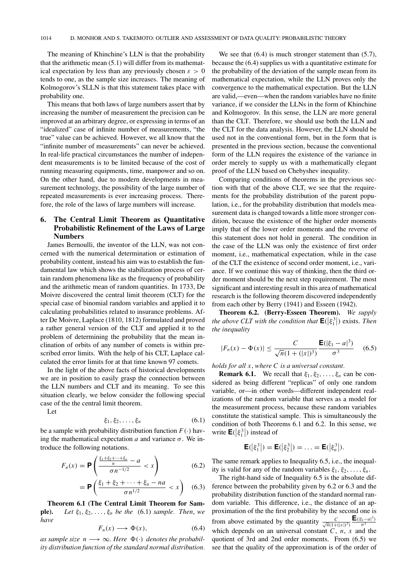The meaning of Khinchine's LLN is that the probability that the arithmetic mean (5.1) will differ from its mathematical expectation by less than any previously chosen  $\varepsilon > 0$ tends to one, as the sample size increases. The meaning of Kolmogorov's SLLN is that this statement takes place with probability one.

This means that both laws of large numbers assert that by increasing the number of measurement the precision can be improved at an arbitrary degree, or expressing in terms of an "idealized" case of infinite number of measurements, "the true" value can be achieved. However, we all know that the "infinite number of measurements" can never be achieved. In real-life practical circumstances the number of independent measurements is to be limited because of the cost of running measuring equipments, time, manpower and so on. On the other hand, due to modern developments in measurement technology, the possibility of the large number of repeated measurements is ever increasing process. Therefore, the role of the laws of large numbers will increase.

# **6. The Central Limit Theorem as Quantitative Probabilistic Refinement of the Laws of Large Numbers**

James Bernoulli, the inventor of the LLN, was not concerned with the numerical determination or estimation of probability content, instead his aim was to establish the fundamental law which shows the stabilization process of certain random phenomena like as the frequency of probability and the arithmetic mean of random quantities. In 1733, De Moivre discovered the central limit theorem (CLT) for the special case of binomial random variables and applied it to calculating probabilities related to insurance problems. After De Moivre, Laplace (1810, 1812) formulated and proved a rather general version of the CLT and applied it to the problem of determining the probability that the mean inclination of orbits of any number of comets is within prescribed error limits. With the help of his CLT, Laplace calculated the error limits for at that time known 97 comets.

In the light of the above facts of historical developments we are in position to easily grasp the connection between the LLN numbers and CLT and its meaning. To see this situation clearly, we below consider the following special case of the the central limit theorem.

Let

$$
\xi_1, \xi_2, \ldots, \xi_n \tag{6.1}
$$

be a sample with probability distribution function  $F(\cdot)$  having the mathematical expectation  $a$  and variance  $\sigma$ . We introduce the following notations.

$$
F_n(x) = \mathbf{P}\left(\frac{\frac{\xi_1 + \xi_2 + \dots + \xi_n}{n} - a}{\sigma n^{-1/2}} < x\right) \tag{6.2}
$$

$$
= \mathbf{P}\left(\frac{\xi_1 + \xi_2 + \dots + \xi_n - na}{\sigma n^{1/2}} < x\right) \quad (6.3)
$$

**Theorem 6.1 (The Central Limit Theorem for Sample).** *Let*  $\xi_1, \xi_2, \ldots, \xi_n$  *be the* (6.1) *sample. Then, we have*

$$
F_n(x) \longrightarrow \Phi(x), \tag{6.4}
$$

*as sample size*  $n \rightarrow \infty$ . *Here*  $\Phi(\cdot)$  *denotes the probability distribution function of the standard normal distribution.*

We see that  $(6.4)$  is much stronger statement than  $(5.7)$ , because the (6.4) supplies us with a quantitative estimate for the probability of the deviation of the sample mean from its mathematical expectation, while the LLN proves only the convergence to the mathematical expectation. But the LLN are valid,—even—when the random variables have no finite variance, if we consider the LLNs in the form of Khinchine and Kolmogorov. In this sense, the LLN are more general than the CLT. Therefore, we should use both the LLN and the CLT for the data analysis. However, the LLN should be used not in the conventional form, but in the form that is presented in the previous section, because the conventional form of the LLN requires the existence of the variance in order merely to supply us with a mathematically elegant proof of the LLN based on Chebyshev inequality.

Comparing conditions of theorems in the previous section with that of the above CLT, we see that the requirements for the probability distribution of the parent population, i.e., for the probability distribution that models measurement data is changed towards a little more stronger condition, because the existence of the higher order moments imply that of the lower order moments and the reverse of this statement does not hold in general. The condition in the case of the LLN was only the existence of first order moment, i.e., mathematical expectation, while in the case of the CLT the existence of second order moment, i.e., variance. If we continue this way of thinking, then the third order moment should be the next step requirement. The most significant and interesting result in this area of mathematical research is the following theorem discovered independently from each other by Berry (1941) and Esseen (1942).

**Theorem 6.2. (Berry-Esseen Theorem).** *We supply the above CLT with the condition that*  $\mathbf{E}(|\xi_1^3|)$  exists. *Then the inequality*

$$
|F_n(x) - \Phi(x)| \le \frac{C}{\sqrt{n}(1 + (|x|)^3)} \frac{\mathbf{E}(|\xi_1 - a|^3)}{\sigma^3} \quad (6.5)
$$

*holds for all x*, *where C is a universal constant.*

**Remark 6.1.** We recall that  $\xi_1, \xi_2, \ldots, \xi_n$  can be considered as being different "replicas" of only one random variable, or—in other words—different independent realizations of the random variable that serves as a model for the measurement process, because these random variables constitute the statistical sample. This is simultaneously the condition of both Theorems 6.1 and 6.2. In this sense, we write  $\mathbf{E}(\left|\xi_1^3\right|)$  instead of

$$
\mathbf{E}(|\xi_1^3|) = \mathbf{E}(|\xi_2^3|) = \ldots = \mathbf{E}(|\xi_n^3|).
$$

The same remark applies to Inequality 6.5, i.e., the inequality is valid for any of the random variables  $\xi_1, \xi_2, \ldots, \xi_n$ .

The right-hand side of Inequality 6.5 is the absolute difference between the probability given by 6.2 or 6.3 and the probability distribution function of the standard normal random variable. This difference, i.e., the distance of an approximation of the the first probability by the second one is from above estimated by the quantity  $\frac{C}{\sqrt{n}(1+(|x|)^3)}$ **E**( $|\xi_1 - a|^3$ )  $\sigma^3$ which depends on an universal constant  $C$ ,  $n$ ,  $x$  and the quotient of 3rd and 2nd order moments. From (6.5) we see that the quality of the approximation is of the order of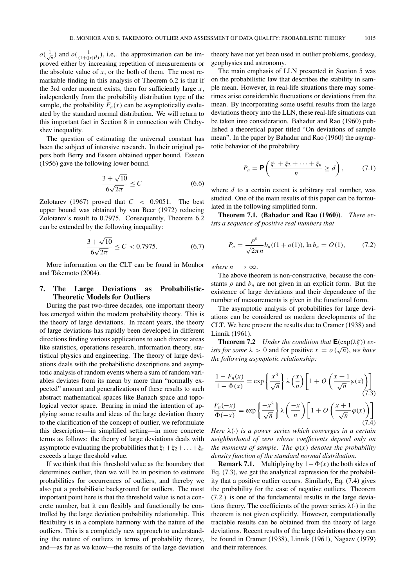$o(\frac{1}{\sqrt{n}})$  and  $o(\frac{1}{(1+(|x|)^3)})$ , i.e., the approximation can be improved either by increasing repetition of measurements or the absolute value of  $x$ , or the both of them. The most remarkable finding in this analysis of Theorem 6.2 is that if the 3rd order moment exists, then for sufficiently large *x*, independently from the probability distribution type of the sample, the probability  $F_n(x)$  can be asymptotically evaluated by the standard normal distribution. We will return to this important fact in Section 8 in connection with Chebyshev inequality.

The question of estimating the universal constant has been the subject of intensive research. In their original papers both Berry and Esseen obtained upper bound. Esseen (1956) gave the following lower bound.

$$
\frac{3+\sqrt{10}}{6\sqrt{2\pi}} \le C \tag{6.6}
$$

Zolotarev (1967) proved that  $C < 0.9051$ . The best upper bound was obtained by van Beer (1972) reducing Zolotarev's result to 0.7975. Consequently, Theorem 6.2 can be extended by the following inequality:

$$
\frac{3+\sqrt{10}}{6\sqrt{2\pi}} \le C < 0.7975. \tag{6.7}
$$

More information on the CLT can be found in Monhor and Takemoto (2004).

# **7. The Large Deviations as Probabilistic-Theoretic Models for Outliers**

During the past two-three decades, one important theory has emerged within the modern probability theory. This is the theory of large deviations. In recent years, the theory of large deviations has rapidly been developed in different directions finding various applications to such diverse areas like statistics, operations research, information theory, statistical physics and engineering. The theory of large deviations deals with the probabilistic descriptions and asymptotic analysis of random events where a sum of random variables deviates from its mean by more than "normally expected" amount and generalizations of these results to such abstract mathematical spaces like Banach space and topological vector space. Bearing in mind the intention of applying some results and ideas of the large deviation theory to the clarification of the concept of outlier, we reformulate this description—in simplified setting—in more concrete terms as follows: the theory of large deviations deals with asymptotic evaluating the probabilities that  $\xi_1+\xi_2+\ldots+\xi_n$ exceeds a large threshold value.

If we think that this threshold value as the boundary that determines outlier, then we will be in position to estimate probabilities for occurrences of outliers, and thereby we also put a probabilistic background for outliers. The most important point here is that the threshold value is not a concrete number, but it can flexibly and functionally be controlled by the large deviation probability relationship. This flexibility is in a complete harmony with the nature of the outliers. This is a completely new approach to understanding the nature of outliers in terms of probability theory, and—as far as we know—the results of the large deviation theory have not yet been used in outlier problems, geodesy, geophysics and astronomy.

The main emphasis of LLN presented in Section 5 was on the probabilistic law that describes the stability in sample mean. However, in real-life situations there may sometimes arise considerable fluctuations or deviations from the mean. By incorporating some useful results from the large deviations theory into the LLN, these real-life situations can be taken into consideration. Bahadur and Rao (1960) published a theoretical paper titled "On deviations of sample mean". In the paper by Bahadur and Rao (1960) the asymptotic behavior of the probability

$$
P_n = \mathbf{P}\left(\frac{\xi_1 + \xi_2 + \dots + \xi_n}{n} \ge d\right),\tag{7.1}
$$

where *d* to a certain extent is arbitrary real number, was studied. One of the main results of this paper can be formulated in the following simplified form.

**Theorem 7.1. (Bahadur and Rao (1960))**. *There exists a sequence of positive real numbers that*

$$
P_n = \frac{\rho^n}{\sqrt{2\pi n}} b_n((1 + o(1)), \ln b_n = O(1)), \tag{7.2}
$$

*where*  $n \rightarrow \infty$ .

The above theorem is non-constructive, because the constants  $\rho$  and  $b_n$  are not given in an explicit form. But the existence of large deviations and their dependence of the number of measurements is given in the functional form.

The asymptotic analysis of probabilities for large deviations can be considered as modern developments of the CLT. We here present the results due to Cramer (1938) and Linnik (1961).

**Theorem 7.2** *Under the condition that*  $\mathbf{E}(\exp(\lambda \xi))$  *exists for some*  $\lambda > 0$  and for positive  $x = o(\sqrt{n})$ , we have *the following asymptotic relationship:*

$$
\frac{1 - F_n(x)}{1 - \Phi(x)} = \exp\left\{\frac{x^3}{\sqrt{n}}\right\} \lambda\left(\frac{x}{n}\right) \left[1 + O\left(\frac{x+1}{\sqrt{n}}\varphi(x)\right)\right]
$$
\n
$$
\frac{F_n(-x)}{\Phi(-x)} = \exp\left\{\frac{-x^3}{\sqrt{n}}\right\} \lambda\left(\frac{-x}{n}\right) \left[1 + O\left(\frac{x+1}{\sqrt{n}}\varphi(x)\right)\right]
$$
\n(7.3)\n(7.4)

*Here* λ(·) *is a power series which converges in a certain neighborhood of zero whose coefficients depend only on the moments of sample. The*  $\varphi(x)$  *denotes the probability density function of the standard normal distribution.*

**Remark 7.1.** Multiplying by  $1 - \Phi(x)$  the both sides of Eq. (7.3), we get the analytical expression for the probability that a positive outlier occurs. Similarly, Eq. (7.4) gives the probability for the case of negative outliers. Theorem (7.2.) is one of the fundamental results in the large deviations theory. The coefficients of the power series  $\lambda(\cdot)$  in the theorem is not given explicitly. However, computationally tractable results can be obtained from the theory of large deviations. Recent results of the large deviations theory can be found in Cramer (1938), Linnik (1961), Nagaev (1979) and their references.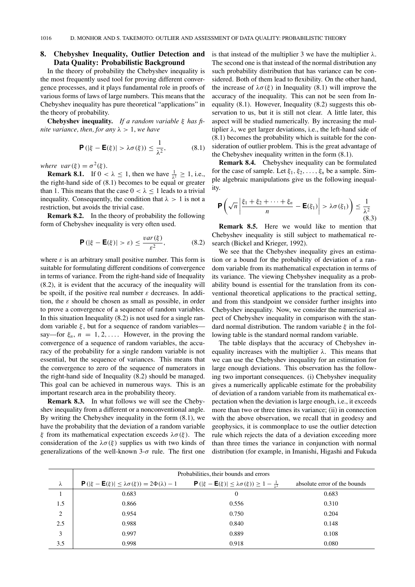## **8. Chebyshev Inequality, Outlier Detection and Data Quality: Probabilistic Background**

In the theory of probability the Chebyshev inequality is the most frequently used tool for proving different convergence processes, and it plays fundamental role in proofs of various forms of laws of large numbers. This means that the Chebyshev inequality has pure theoretical "applications" in the theory of probability.

**Chebyshev inequality.** *If a random variable* ξ *has finite variance, then, for any*  $\lambda > 1$ *, we have* 

$$
\mathbf{P}\left(|\xi - \mathbf{E}(\xi)| > \lambda \sigma(\xi)\right) \le \frac{1}{\lambda^2},\tag{8.1}
$$

*where*  $var(\xi) = \sigma^2(\xi)$ .

**Remark 8.1.** If  $0 < \lambda \le 1$ , then we have  $\frac{1}{\lambda^2} \ge 1$ , i.e., the right-hand side of  $(8.1)$  becomes to be equal or greater than 1. This means that the case  $0 < \lambda \le 1$  leads to a trivial inequality. Consequently, the condition that  $\lambda > 1$  is not a restriction, but avoids the trivial case.

**Remark 8.2.** In the theory of probability the following form of Chebyshev inequality is very often used.

$$
\mathbf{P}(|\xi - \mathbf{E}(\xi)| > \varepsilon) \le \frac{var(\xi)}{\varepsilon^2},
$$
 (8.2)

where  $\varepsilon$  is an arbitrary small positive number. This form is suitable for formulating different conditions of convergence in terms of variance. From the right-hand side of Inequality (8.2), it is evident that the accuracy of the inequality will be spoilt, if the positive real number  $\varepsilon$  decreases. In addition, the  $\varepsilon$  should be chosen as small as possible, in order to prove a convergence of a sequence of random variables. In this situation Inequality (8.2) is not used for a single random variable  $\xi$ , but for a sequence of random variablessay—for  $\xi_n$ ,  $n = 1, 2, \ldots$ . However, in the proving the convergence of a sequence of random variables, the accuracy of the probability for a single random variable is not essential, but the sequence of variances. This means that the convergence to zero of the sequence of numerators in the right-hand side of Inequality (8.2) should be managed. This goal can be achieved in numerous ways. This is an important research area in the probability theory.

**Remark 8.3.** In what follows we will see the Chebyshev inequality from a different or a nonconventional angle. By writing the Chebyshev inequality in the form (8.1), we have the probability that the deviation of a random variable ξ from its mathematical expectation exceeds  $\lambda \sigma(\xi)$ . The consideration of the  $\lambda \sigma(\xi)$  supplies us with two kinds of generalizations of the well-known  $3-\sigma$  rule. The first one

is that instead of the multiplier 3 we have the multiplier  $\lambda$ . The second one is that instead of the normal distribution any such probability distribution that has variance can be considered. Both of them lead to flexibility. On the other hand, the increase of  $\lambda \sigma(\xi)$  in Inequality (8.1) will improve the accuracy of the inequality. This can not be seen from Inequality (8.1). However, Inequality (8.2) suggests this observation to us, but it is still not clear. A little later, this aspect will be studied numerically. By increasing the multiplier  $\lambda$ , we get larger deviations, i.e., the left-hand side of (8.1) becomes the probability which is suitable for the consideration of outlier problem. This is the great advantage of the Chebyshev inequality written in the form (8.1).

**Remark 8.4.** Chebyshev inequality can be formulated for the case of sample. Let  $\xi_1, \xi_2, \ldots, \xi_n$  be a sample. Simple algebraic manipulations give us the following inequality.

$$
\mathbf{P}\left(\sqrt{n}\left|\frac{\xi_1+\xi_2+\cdots+\xi_n}{n}-\mathbf{E}(\xi_1)\right|>\lambda\sigma(\xi_1)\right)\leq\frac{1}{\lambda^2}\tag{8.3}
$$

**Remark 8.5.** Here we would like to mention that Chebyshev inequality is still subject to mathematical research (Bickel and Krieger, 1992).

We see that the Chebyshev inequality gives an estimation or a bound for the probability of deviation of a random variable from its mathematical expectation in terms of its variance. The viewing Chebyshev inequality as a probability bound is essential for the translation from its conventional theoretical applications to the practical setting, and from this standpoint we consider further insights into Chebyshev inequality. Now, we consider the numerical aspect of Chebyshev inequality in comparison with the standard normal distribution. The random variable  $\xi$  in the following table is the standard normal random variable.

The table displays that the accuracy of Chebyshev inequality increases with the multiplier  $\lambda$ . This means that we can use the Chebyshev inequality for an estimation for large enough deviations. This observation has the following two important consequences. (i) Chebyshev inequality gives a numerically applicable estimate for the probability of deviation of a random variable from its mathematical expectation when the deviation is large enough, i.e., it exceeds more than two or three times its variance; (ii) in connection with the above observation, we recall that in geodesy and geophysics, it is commonplace to use the outlier detection rule which rejects the data of a deviation exceeding more than three times the variance in conjunction with normal distribution (for example, in Imanishi, Higashi and Fukuda

|     | Probabilities, their bounds and errors                                                                       |          |                              |
|-----|--------------------------------------------------------------------------------------------------------------|----------|------------------------------|
| λ   | <b>P</b> ( ξ – <b>E</b> (ξ)  ≤ λσ(ξ)) = 2Φ(λ) – 1 <b>P</b> ( ξ – <b>E</b> (ξ)  ≤ λσ(ξ)) ≥ 1 – $\frac{1}{12}$ |          | absolute error of the bounds |
|     | 0.683                                                                                                        | $\bf{0}$ | 0.683                        |
| 1.5 | 0.866                                                                                                        | 0.556    | 0.310                        |
| 2   | 0.954                                                                                                        | 0.750    | 0.204                        |
| 2.5 | 0.988                                                                                                        | 0.840    | 0.148                        |
| 3   | 0.997                                                                                                        | 0.889    | 0.108                        |
| 3.5 | 0.998                                                                                                        | 0.918    | 0.080                        |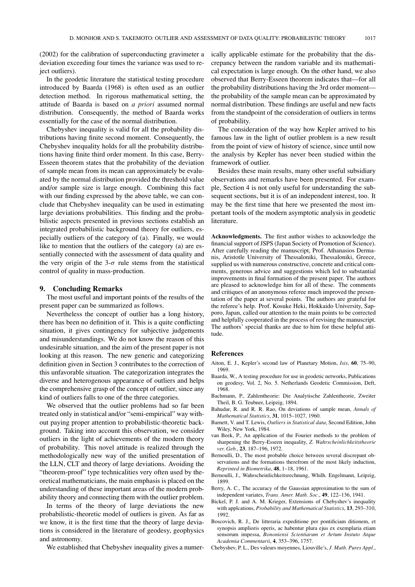(2002) for the calibration of superconducting gravimeter a deviation exceeding four times the variance was used to reject outliers).

In the geodetic literature the statistical testing procedure introduced by Baarda (1968) is often used as an outlier detection method. In rigorous mathematical setting, the attitude of Baarda is based on *a priori* assumed normal distribution. Consequently, the method of Baarda works essentially for the case of the normal distribution.

Chebyshev inequality is valid for all the probability distributions having finite second moment. Consequently, the Chebyshev inequality holds for all the probability distributions having finite third order moment. In this case, Berry-Esseen theorem states that the probability of the deviation of sample mean from its mean can approximately be evaluated by the normal distribution provided the threshold value and/or sample size is large enough. Combining this fact with our finding expressed by the above table, we can conclude that Chebyshev inequality can be used in estimating large deviations probabilities. This finding and the probabilistic aspects presented in previous sections establish an integrated probabilistic background theory for outliers, especially outliers of the category of (a). Finally, we would like to mention that the outliers of the category (a) are essentially connected with the assessment of data quality and the very origin of the  $3-\sigma$  rule stems from the statistical control of quality in mass-production.

#### **9. Concluding Remarks**

The most useful and important points of the results of the present paper can be summarized as follows.

Nevertheless the concept of outlier has a long history, there has been no definition of it. This is a quite conflicting situation, it gives contingency for subjective judgements and misunderstandings. We do not know the reason of this undesirable situation, and the aim of the present paper is not looking at this reason. The new generic and categorizing definition given in Section 3 contributes to the correction of this unfavorable situation. The categorization integrates the diverse and heterogenous appearance of outliers and helps the comprehensive grasp of the concept of outlier, since any kind of outliers falls to one of the three categories.

We observed that the outlier problems had so far been treated only in statistical and/or "semi-empirical" way without paying proper attention to probabilistic-theoretic background. Taking into account this observation, we consider outliers in the light of achievements of the modern theory of probability. This novel attitude is realized through the methodologically new way of the unified presentation of the LLN, CLT and theory of large deviations. Avoiding the "theorem-proof" type technicalities very often used by theoretical mathematicians, the main emphasis is placed on the understanding of these important areas of the modern probability theory and connecting them with the outlier problem.

In terms of the theory of large deviations the new probabilistic-theoretic model of outliers is given. As far as we know, it is the first time that the theory of large deviations is considered in the literature of geodesy, geophysics and astronomy.

We established that Chebyshev inequality gives a numer-

ically applicable estimate for the probability that the discrepancy between the random variable and its mathematical expectation is large enough. On the other hand, we also observed that Berry-Esseen theorem indicates that—for all the probability distributions having the 3rd order moment the probability of the sample mean can be approximated by normal distribution. These findings are useful and new facts from the standpoint of the consideration of outliers in terms of probability.

The consideration of the way how Kepler arrived to his famous law in the light of outlier problem is a new result from the point of view of history of science, since until now the analysis by Kepler has never been studied within the framework of outlier.

Besides these main results, many other useful subsidiary observations and remarks have been presented. For example, Section 4 is not only useful for understanding the subsequent sections, but it is of an independent interest, too. It may be the first time that here we presented the most important tools of the modern asymptotic analysis in geodetic literature.

**Acknowledgments.** The first author wishes to acknowledge the financial support of JSPS (Japan Society of Promotion of Science). After carefully reading the manuscript, Prof. Athanasios Dermanis, Aristotle University of Thessaloniki, Thessaloniki, Greece, supplied us with numerous constructive, concrete and critical comments, generous advice and suggestions which led to substantial improvements in final formation of the present paper. The authors are pleased to acknowledge him for all of these. The comments and critiques of an anonymous referee much improved the presentation of the paper at several points. The authors are grateful for the referee's help. Prof. Kosuke Heki, Hokkaido University, Sapporo, Japan, called our attention to the main points to be corrected and helpfully cooperated in the process of revising the manuscript. The authors' special thanks are due to him for these helpful attitude.

### **References**

- Aiton, E. J., Kepler's second law of Planetary Motion, *Isis*, **60**, 75–90, 1969.
- Baarda, W., A testing procedure for use in geodetic networks, Publications on geodesy, Vol. 2, No. 5. Netherlands Geodetic Commission, Deft, 1968.
- Bachmann, P., Zahlentheorie: Die Analytische Zahlentheorie, Zweiter Theil, B. G. Teubner, Leipzig, 1894.
- Bahudar, R. and R. R. Rao, On deviations of sample mean, *Annals of Mathematical Statistics*, **31**, 1015–1027, 1960.
- Barnett, V. and T. Lewis, *Outliers in Statistical data*, Second Edition, John Wiley, New York, 1984.
- van Beek, P., An application of the Fourier methods to the problem of sharpening the Berry-Esseen inequality, *Z. Wahrscheinlichkeitstheorie ver. Geb.*, **23**, 187–196, 1972.
- Bernoulli, D., The most probable choice between several discrepant observations and the formations therefrom of the most likely induction, *Reprinted in Biometrika*, **48**, 1–18, 1961.
- Bernoulli, J., Wahrscheinlichkeitsrechnung, Whilh. Engelmann, Leipzig, 1899.
- Berry, A. C., The accuracy of the Gaussian approximation to the sum of independent variates, *Trans. Amer. Math. Soc.*, **49**, 122–136, 1941.
- Bickel, P. J. and A. M. Krieger, Extensions of Chebyshev's inequality with applcations, *Probability and Mathematical Statistics*, **13**, 293–310, 1992.
- Boscovich, R. J., De litteraria expeditione per pontificiam ditionem, et synopsis amplioris operis, ac habentur plura ejus ex exemplaria etiam sensorum impessa, *Bononiensi Scientiarum et Artum Instuto Atque Academia Commentarii*, **4**, 353–396, 1757.
- Chebyshev, P. L., Des valeurs moyennes, Liouville's, *J. Math. Pures Appl.*,